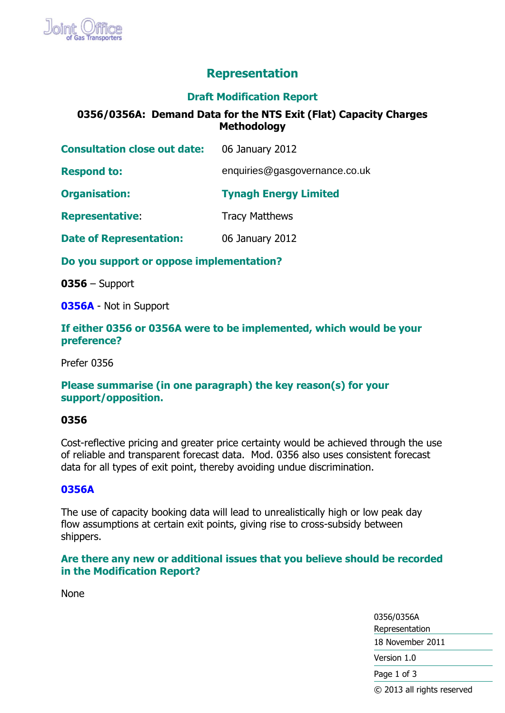

# **Representation**

# **Draft Modification Report**

# **0356/0356A: Demand Data for the NTS Exit (Flat) Capacity Charges Methodology**

| <b>Consultation close out date:</b> | 06 January 2012               |
|-------------------------------------|-------------------------------|
| <b>Respond to:</b>                  | enquiries@gasgovernance.co.uk |
| <b>Organisation:</b>                | <b>Tynagh Energy Limited</b>  |
| <b>Representative:</b>              | <b>Tracy Matthews</b>         |
| <b>Date of Representation:</b>      | 06 January 2012               |

**Do you support or oppose implementation?**

**0356** – Support

**0356A** - Not in Support

## **If either 0356 or 0356A were to be implemented, which would be your preference?**

Prefer 0356

## **Please summarise (in one paragraph) the key reason(s) for your support/opposition.**

### **0356**

Cost-reflective pricing and greater price certainty would be achieved through the use of reliable and transparent forecast data. Mod. 0356 also uses consistent forecast data for all types of exit point, thereby avoiding undue discrimination.

### **0356A**

The use of capacity booking data will lead to unrealistically high or low peak day flow assumptions at certain exit points, giving rise to cross-subsidy between shippers.

# **Are there any new or additional issues that you believe should be recorded in the Modification Report?**

None

0356/0356A Representation 18 November 2011 Version 1.0 Page 1 of 3 © 2013 all rights reserved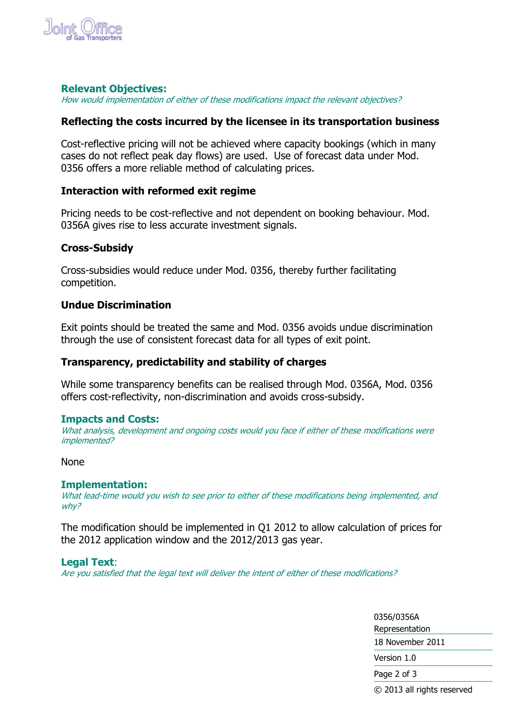

## **Relevant Objectives:**

How would implementation of either of these modifications impact the relevant objectives?

# **Reflecting the costs incurred by the licensee in its transportation business**

Cost-reflective pricing will not be achieved where capacity bookings (which in many cases do not reflect peak day flows) are used. Use of forecast data under Mod. 0356 offers a more reliable method of calculating prices.

## **Interaction with reformed exit regime**

Pricing needs to be cost-reflective and not dependent on booking behaviour. Mod. 0356A gives rise to less accurate investment signals.

## **Cross-Subsidy**

Cross-subsidies would reduce under Mod. 0356, thereby further facilitating competition.

## **Undue Discrimination**

Exit points should be treated the same and Mod. 0356 avoids undue discrimination through the use of consistent forecast data for all types of exit point.

# **Transparency, predictability and stability of charges**

While some transparency benefits can be realised through Mod. 0356A, Mod. 0356 offers cost-reflectivity, non-discrimination and avoids cross-subsidy.

### **Impacts and Costs:**

What analysis, development and ongoing costs would you face if either of these modifications were implemented?

None

### **Implementation:**

What lead-time would you wish to see prior to either of these modifications being implemented, and why?

The modification should be implemented in Q1 2012 to allow calculation of prices for the 2012 application window and the 2012/2013 gas year.

### **Legal Text**:

Are you satisfied that the legal text will deliver the intent of either of these modifications?

0356/0356A Representation 18 November 2011 Version 1.0 Page 2 of 3 © 2013 all rights reserved